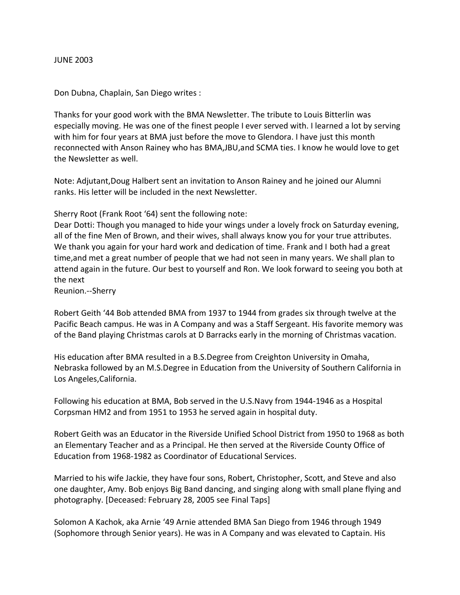## JUNE 2003

Don Dubna, Chaplain, San Diego writes :

Thanks for your good work with the BMA Newsletter. The tribute to Louis Bitterlin was especially moving. He was one of the finest people I ever served with. I learned a lot by serving with him for four years at BMA just before the move to Glendora. I have just this month reconnected with Anson Rainey who has BMA,JBU,and SCMA ties. I know he would love to get the Newsletter as well.

Note: Adjutant,Doug Halbert sent an invitation to Anson Rainey and he joined our Alumni ranks. His letter will be included in the next Newsletter.

Sherry Root (Frank Root '64) sent the following note:

Dear Dotti: Though you managed to hide your wings under a lovely frock on Saturday evening, all of the fine Men of Brown, and their wives, shall always know you for your true attributes. We thank you again for your hard work and dedication of time. Frank and I both had a great time,and met a great number of people that we had not seen in many years. We shall plan to attend again in the future. Our best to yourself and Ron. We look forward to seeing you both at the next

Reunion.--Sherry

Robert Geith '44 Bob attended BMA from 1937 to 1944 from grades six through twelve at the Pacific Beach campus. He was in A Company and was a Staff Sergeant. His favorite memory was of the Band playing Christmas carols at D Barracks early in the morning of Christmas vacation.

His education after BMA resulted in a B.S.Degree from Creighton University in Omaha, Nebraska followed by an M.S.Degree in Education from the University of Southern California in Los Angeles,California.

Following his education at BMA, Bob served in the U.S.Navy from 1944-1946 as a Hospital Corpsman HM2 and from 1951 to 1953 he served again in hospital duty.

Robert Geith was an Educator in the Riverside Unified School District from 1950 to 1968 as both an Elementary Teacher and as a Principal. He then served at the Riverside County Office of Education from 1968-1982 as Coordinator of Educational Services.

Married to his wife Jackie, they have four sons, Robert, Christopher, Scott, and Steve and also one daughter, Amy. Bob enjoys Big Band dancing, and singing along with small plane flying and photography. [Deceased: February 28, 2005 see Final Taps]

Solomon A Kachok, aka Arnie '49 Arnie attended BMA San Diego from 1946 through 1949 (Sophomore through Senior years). He was in A Company and was elevated to Captain. His